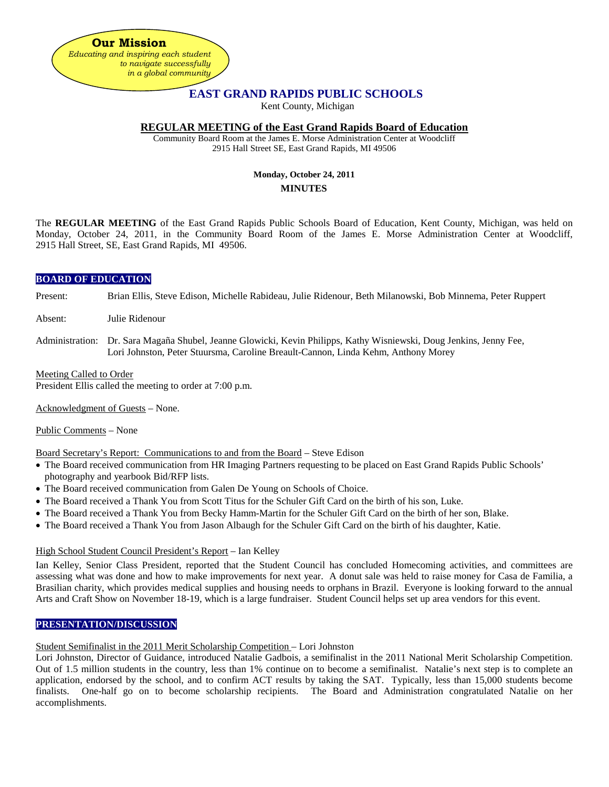

# **EAST GRAND RAPIDS PUBLIC SCHOOLS**

Kent County, Michigan

### **REGULAR MEETING of the East Grand Rapids Board of Education**

Community Board Room at the James E. Morse Administration Center at Woodcliff 2915 Hall Street SE, East Grand Rapids, MI 49506

# **Monday, October 24, 2011 MINUTES**

The **REGULAR MEETING** of the East Grand Rapids Public Schools Board of Education, Kent County, Michigan, was held on Monday, October 24, 2011, in the Community Board Room of the James E. Morse Administration Center at Woodcliff, 2915 Hall Street, SE, East Grand Rapids, MI 49506.

# **BOARD OF EDUCATION**

- Present: Brian Ellis, Steve Edison, Michelle Rabideau, Julie Ridenour, Beth Milanowski, Bob Minnema, Peter Ruppert
- Absent: Julie Ridenour
- Administration: Dr. Sara Magaña Shubel, Jeanne Glowicki, Kevin Philipps, Kathy Wisniewski, Doug Jenkins, Jenny Fee, Lori Johnston, Peter Stuursma, Caroline Breault-Cannon, Linda Kehm, Anthony Morey

### Meeting Called to Order

President Ellis called the meeting to order at 7:00 p.m.

Acknowledgment of Guests – None.

Public Comments – None

### Board Secretary's Report: Communications to and from the Board – Steve Edison

- The Board received communication from HR Imaging Partners requesting to be placed on East Grand Rapids Public Schools' photography and yearbook Bid/RFP lists.
- The Board received communication from Galen De Young on Schools of Choice.
- The Board received a Thank You from Scott Titus for the Schuler Gift Card on the birth of his son, Luke.
- The Board received a Thank You from Becky Hamm-Martin for the Schuler Gift Card on the birth of her son, Blake.
- The Board received a Thank You from Jason Albaugh for the Schuler Gift Card on the birth of his daughter, Katie.

### High School Student Council President's Report – Ian Kelley

Ian Kelley, Senior Class President, reported that the Student Council has concluded Homecoming activities, and committees are assessing what was done and how to make improvements for next year. A donut sale was held to raise money for Casa de Familia, a Brasilian charity, which provides medical supplies and housing needs to orphans in Brazil. Everyone is looking forward to the annual Arts and Craft Show on November 18-19, which is a large fundraiser. Student Council helps set up area vendors for this event.

### **PRESENTATION/DISCUSSION**

### Student Semifinalist in the 2011 Merit Scholarship Competition – Lori Johnston

Lori Johnston, Director of Guidance, introduced Natalie Gadbois, a semifinalist in the 2011 National Merit Scholarship Competition. Out of 1.5 million students in the country, less than 1% continue on to become a semifinalist. Natalie's next step is to complete an application, endorsed by the school, and to confirm ACT results by taking the SAT. Typically, less than 15,000 students become finalists. One-half go on to become scholarship recipients. The Board and Administration congratulated Natalie on her accomplishments.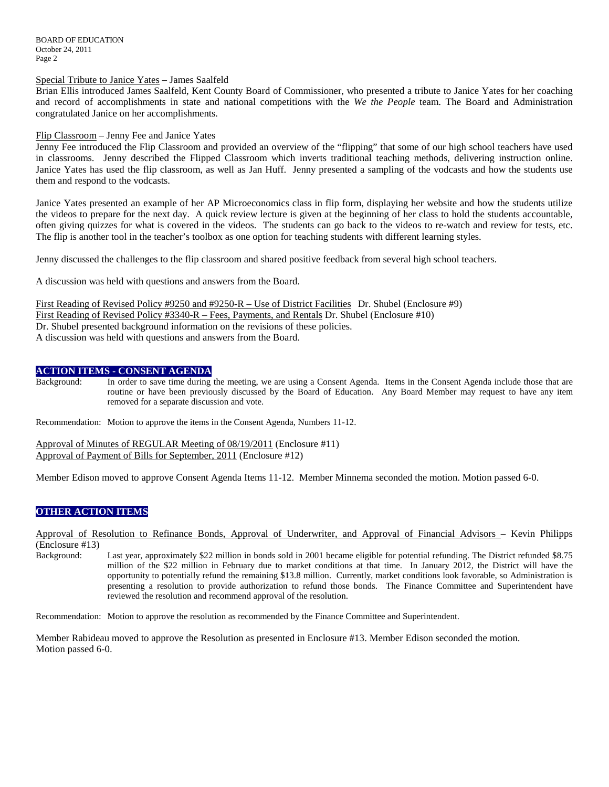BOARD OF EDUCATION October 24, 2011 Page 2

#### Special Tribute to Janice Yates – James Saalfeld

Brian Ellis introduced James Saalfeld, Kent County Board of Commissioner, who presented a tribute to Janice Yates for her coaching and record of accomplishments in state and national competitions with the *We the People* team. The Board and Administration congratulated Janice on her accomplishments.

#### Flip Classroom – Jenny Fee and Janice Yates

Jenny Fee introduced the Flip Classroom and provided an overview of the "flipping" that some of our high school teachers have used in classrooms. Jenny described the Flipped Classroom which inverts traditional teaching methods, delivering instruction online. Janice Yates has used the flip classroom, as well as Jan Huff. Jenny presented a sampling of the vodcasts and how the students use them and respond to the vodcasts.

Janice Yates presented an example of her AP Microeconomics class in flip form, displaying her website and how the students utilize the videos to prepare for the next day. A quick review lecture is given at the beginning of her class to hold the students accountable, often giving quizzes for what is covered in the videos. The students can go back to the videos to re-watch and review for tests, etc. The flip is another tool in the teacher's toolbox as one option for teaching students with different learning styles.

Jenny discussed the challenges to the flip classroom and shared positive feedback from several high school teachers.

A discussion was held with questions and answers from the Board.

First Reading of Revised Policy #9250 and #9250-R – Use of District Facilities Dr. Shubel (Enclosure #9) First Reading of Revised Policy #3340-R – Fees, Payments, and Rentals Dr. Shubel (Enclosure #10) Dr. Shubel presented background information on the revisions of these policies. A discussion was held with questions and answers from the Board.

#### **ACTION ITEMS - CONSENT AGENDA**

Background: In order to save time during the meeting, we are using a Consent Agenda. Items in the Consent Agenda include those that are routine or have been previously discussed by the Board of Education. Any Board Member may request to have any item removed for a separate discussion and vote.

Recommendation: Motion to approve the items in the Consent Agenda, Numbers 11-12.

Approval of Minutes of REGULAR Meeting of 08/19/2011 (Enclosure #11) Approval of Payment of Bills for September, 2011 (Enclosure #12)

Member Edison moved to approve Consent Agenda Items 11-12. Member Minnema seconded the motion. Motion passed 6-0.

# **OTHER ACTION ITEMS**

Approval of Resolution to Refinance Bonds, Approval of Underwriter, and Approval of Financial Advisors – Kevin Philipps (Enclosure #13)

Background: Last year, approximately \$22 million in bonds sold in 2001 became eligible for potential refunding. The District refunded \$8.75 million of the \$22 million in February due to market conditions at that time. In January 2012, the District will have the opportunity to potentially refund the remaining \$13.8 million. Currently, market conditions look favorable, so Administration is presenting a resolution to provide authorization to refund those bonds. The Finance Committee and Superintendent have reviewed the resolution and recommend approval of the resolution.

Recommendation: Motion to approve the resolution as recommended by the Finance Committee and Superintendent.

Member Rabideau moved to approve the Resolution as presented in Enclosure #13. Member Edison seconded the motion. Motion passed 6-0.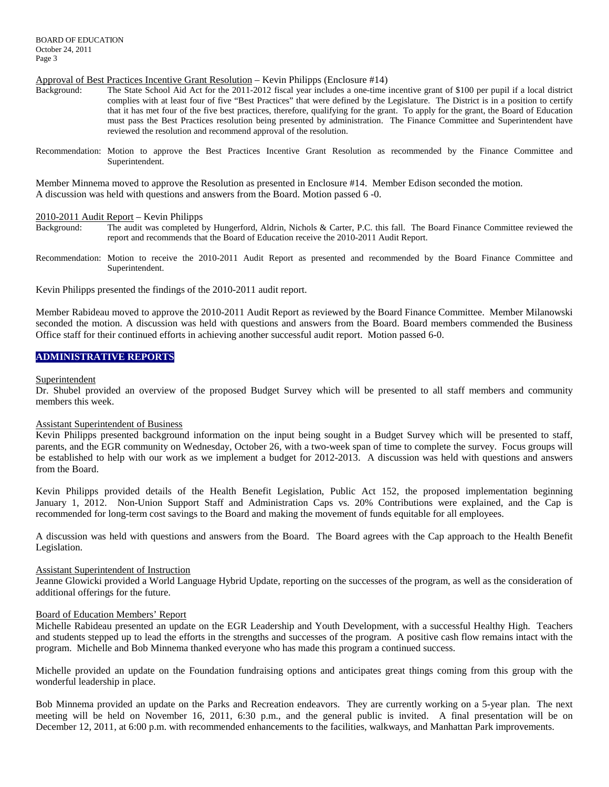Approval of Best Practices Incentive Grant Resolution – Kevin Philipps (Enclosure #14)

- The State School Aid Act for the 2011-2012 fiscal year includes a one-time incentive grant of \$100 per pupil if a local district complies with at least four of five "Best Practices" that were defined by the Legislature. The District is in a position to certify that it has met four of the five best practices, therefore, qualifying for the grant. To apply for the grant, the Board of Education must pass the Best Practices resolution being presented by administration. The Finance Committee and Superintendent have reviewed the resolution and recommend approval of the resolution.
- Recommendation: Motion to approve the Best Practices Incentive Grant Resolution as recommended by the Finance Committee and Superintendent.

Member Minnema moved to approve the Resolution as presented in Enclosure #14. Member Edison seconded the motion. A discussion was held with questions and answers from the Board. Motion passed 6 -0.

#### 2010-2011 Audit Report – Kevin Philipps

- Background: The audit was completed by Hungerford, Aldrin, Nichols & Carter, P.C. this fall. The Board Finance Committee reviewed the report and recommends that the Board of Education receive the 2010-2011 Audit Report.
- Recommendation: Motion to receive the 2010-2011 Audit Report as presented and recommended by the Board Finance Committee and Superintendent.

Kevin Philipps presented the findings of the 2010-2011 audit report.

Member Rabideau moved to approve the 2010-2011 Audit Report as reviewed by the Board Finance Committee. Member Milanowski seconded the motion. A discussion was held with questions and answers from the Board. Board members commended the Business Office staff for their continued efforts in achieving another successful audit report. Motion passed 6-0.

# **ADMINISTRATIVE REPORTS**

#### Superintendent

Dr. Shubel provided an overview of the proposed Budget Survey which will be presented to all staff members and community members this week.

#### Assistant Superintendent of Business

Kevin Philipps presented background information on the input being sought in a Budget Survey which will be presented to staff, parents, and the EGR community on Wednesday, October 26, with a two-week span of time to complete the survey. Focus groups will be established to help with our work as we implement a budget for 2012-2013. A discussion was held with questions and answers from the Board.

Kevin Philipps provided details of the Health Benefit Legislation, Public Act 152, the proposed implementation beginning January 1, 2012. Non-Union Support Staff and Administration Caps vs. 20% Contributions were explained, and the Cap is recommended for long-term cost savings to the Board and making the movement of funds equitable for all employees.

A discussion was held with questions and answers from the Board. The Board agrees with the Cap approach to the Health Benefit Legislation.

#### Assistant Superintendent of Instruction

Jeanne Glowicki provided a World Language Hybrid Update, reporting on the successes of the program, as well as the consideration of additional offerings for the future.

#### Board of Education Members' Report

Michelle Rabideau presented an update on the EGR Leadership and Youth Development, with a successful Healthy High. Teachers and students stepped up to lead the efforts in the strengths and successes of the program. A positive cash flow remains intact with the program. Michelle and Bob Minnema thanked everyone who has made this program a continued success.

Michelle provided an update on the Foundation fundraising options and anticipates great things coming from this group with the wonderful leadership in place.

Bob Minnema provided an update on the Parks and Recreation endeavors. They are currently working on a 5-year plan. The next meeting will be held on November 16, 2011, 6:30 p.m., and the general public is invited. A final presentation will be on December 12, 2011, at 6:00 p.m. with recommended enhancements to the facilities, walkways, and Manhattan Park improvements.